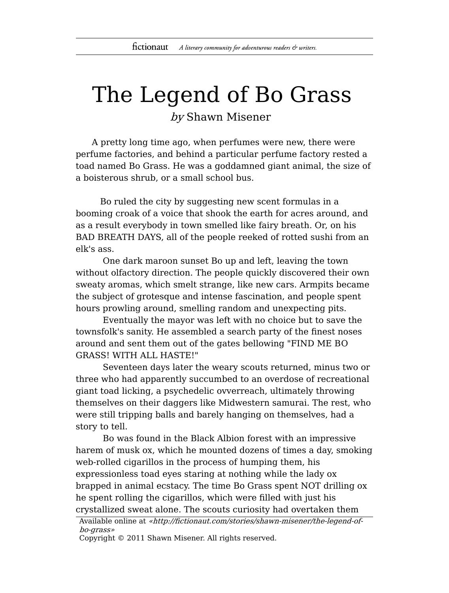## The Legend of Bo Grass by Shawn Misener

A pretty long time ago, when perfumes were new, there were perfume factories, and behind a particular perfume factory rested a toad named Bo Grass. He was a goddamned giant animal, the size of a boisterous shrub, or a small school bus.

Bo ruled the city by suggesting new scent formulas in a booming croak of a voice that shook the earth for acres around, and as a result everybody in town smelled like fairy breath. Or, on his BAD BREATH DAYS, all of the people reeked of rotted sushi from an elk's ass.

One dark maroon sunset Bo up and left, leaving the town without olfactory direction. The people quickly discovered their own sweaty aromas, which smelt strange, like new cars. Armpits became the subject of grotesque and intense fascination, and people spent hours prowling around, smelling random and unexpecting pits.

Eventually the mayor was left with no choice but to save the townsfolk's sanity. He assembled a search party of the finest noses around and sent them out of the gates bellowing "FIND ME BO GRASS! WITH ALL HASTE!"

Seventeen days later the weary scouts returned, minus two or three who had apparently succumbed to an overdose of recreational giant toad licking, a psychedelic ovverreach, ultimately throwing themselves on their daggers like Midwestern samurai. The rest, who were still tripping balls and barely hanging on themselves, had a story to tell.

Bo was found in the Black Albion forest with an impressive harem of musk ox, which he mounted dozens of times a day, smoking web-rolled cigarillos in the process of humping them, his expressionless toad eyes staring at nothing while the lady ox brapped in animal ecstacy. The time Bo Grass spent NOT drilling ox he spent rolling the cigarillos, which were filled with just his crystallized sweat alone. The scouts curiosity had overtaken them

Available online at «http://fictionaut.com/stories/shawn-misener/the-legend-ofbo-grass»

Copyright © 2011 Shawn Misener. All rights reserved.